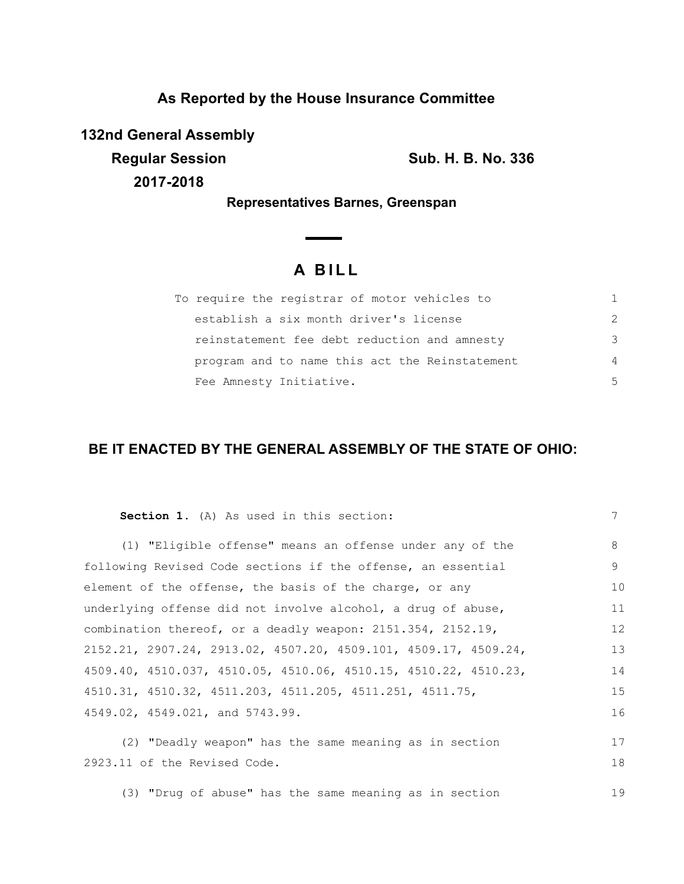## **As Reported by the House Insurance Committee**

**132nd General Assembly**

**Regular Session Sub. H. B. No. 336 2017-2018**

**Representatives Barnes, Greenspan**

# **A B I L L**

| To require the registrar of motor vehicles to  |               |
|------------------------------------------------|---------------|
| establish a six month driver's license         | $\mathcal{P}$ |
| reinstatement fee debt reduction and amnesty   | 3             |
| program and to name this act the Reinstatement | 4             |
| Fee Amnesty Initiative.                        | 5             |

### **BE IT ENACTED BY THE GENERAL ASSEMBLY OF THE STATE OF OHIO:**

| Section 1. (A) As used in this section:                         | 7  |
|-----------------------------------------------------------------|----|
| (1) "Eligible offense" means an offense under any of the        | 8  |
| following Revised Code sections if the offense, an essential    | 9  |
| element of the offense, the basis of the charge, or any         | 10 |
| underlying offense did not involve alcohol, a drug of abuse,    | 11 |
| combination thereof, or a deadly weapon: 2151.354, 2152.19,     | 12 |
| 2152.21, 2907.24, 2913.02, 4507.20, 4509.101, 4509.17, 4509.24, | 13 |
| 4509.40, 4510.037, 4510.05, 4510.06, 4510.15, 4510.22, 4510.23, | 14 |
| 4510.31, 4510.32, 4511.203, 4511.205, 4511.251, 4511.75,        | 15 |
| 4549.02, 4549.021, and 5743.99.                                 | 16 |
| (2) "Deadly weapon" has the same meaning as in section          | 17 |
| 2923.11 of the Revised Code.                                    | 18 |
| (3) "Drug of abuse" has the same meaning as in section          | 19 |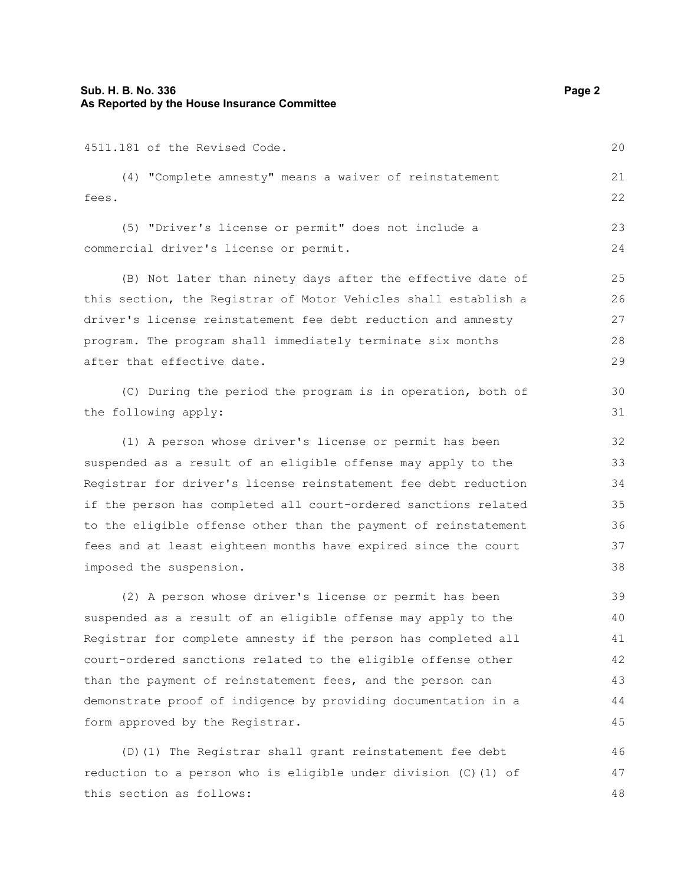#### **Sub. H. B. No. 336 Page 2 As Reported by the House Insurance Committee**

4511.181 of the Revised Code.

(4) "Complete amnesty" means a waiver of reinstatement fees. (5) "Driver's license or permit" does not include a commercial driver's license or permit. (B) Not later than ninety days after the effective date of this section, the Registrar of Motor Vehicles shall establish a driver's license reinstatement fee debt reduction and amnesty program. The program shall immediately terminate six months after that effective date. (C) During the period the program is in operation, both of the following apply: (1) A person whose driver's license or permit has been suspended as a result of an eligible offense may apply to the Registrar for driver's license reinstatement fee debt reduction if the person has completed all court-ordered sanctions related to the eligible offense other than the payment of reinstatement fees and at least eighteen months have expired since the court imposed the suspension. (2) A person whose driver's license or permit has been

suspended as a result of an eligible offense may apply to the Registrar for complete amnesty if the person has completed all court-ordered sanctions related to the eligible offense other than the payment of reinstatement fees, and the person can demonstrate proof of indigence by providing documentation in a form approved by the Registrar. 39 40 41 42 43 44 45

(D)(1) The Registrar shall grant reinstatement fee debt reduction to a person who is eligible under division (C)(1) of this section as follows: 46 47 48

20

21 22

23 24

30 31